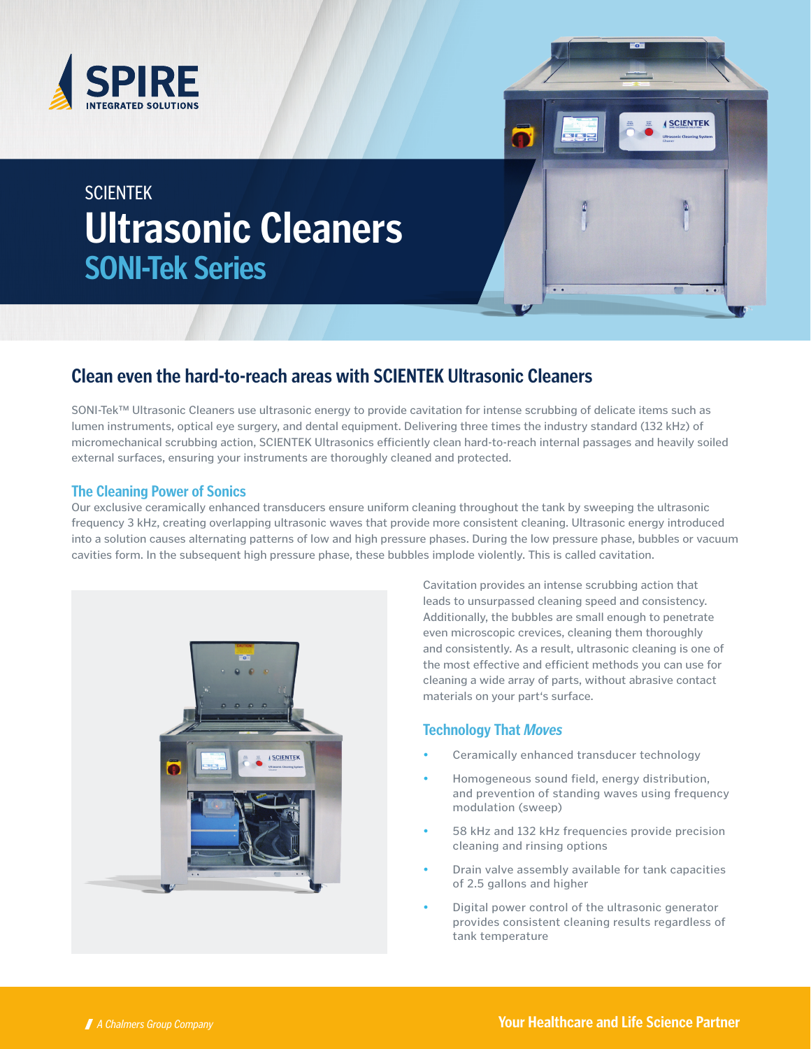



# **SCIENTEK Ultrasonic Cleaners SONI-Tek Series**

## **Clean even the hard-to-reach areas with SCIENTEK Ultrasonic Cleaners**

SONI-Tek™ Ultrasonic Cleaners use ultrasonic energy to provide cavitation for intense scrubbing of delicate items such as lumen instruments, optical eye surgery, and dental equipment. Delivering three times the industry standard (132 kHz) of micromechanical scrubbing action, SCIENTEK Ultrasonics efficiently clean hard-to-reach internal passages and heavily soiled external surfaces, ensuring your instruments are thoroughly cleaned and protected.

#### **The Cleaning Power of Sonics**

Our exclusive ceramically enhanced transducers ensure uniform cleaning throughout the tank by sweeping the ultrasonic frequency 3 kHz, creating overlapping ultrasonic waves that provide more consistent cleaning. Ultrasonic energy introduced into a solution causes alternating patterns of low and high pressure phases. During the low pressure phase, bubbles or vacuum cavities form. In the subsequent high pressure phase, these bubbles implode violently. This is called cavitation.



Cavitation provides an intense scrubbing action that leads to unsurpassed cleaning speed and consistency. Additionally, the bubbles are small enough to penetrate even microscopic crevices, cleaning them thoroughly and consistently. As a result, ultrasonic cleaning is one of the most effective and efficient methods you can use for cleaning a wide array of parts, without abrasive contact materials on your part's surface.

#### **Technology That Moves**

- Ceramically enhanced transducer technology
- Homogeneous sound field, energy distribution, and prevention of standing waves using frequency modulation (sweep)
- 58 kHz and 132 kHz frequencies provide precision cleaning and rinsing options
- Drain valve assembly available for tank capacities of 2.5 gallons and higher
- Digital power control of the ultrasonic generator provides consistent cleaning results regardless of tank temperature